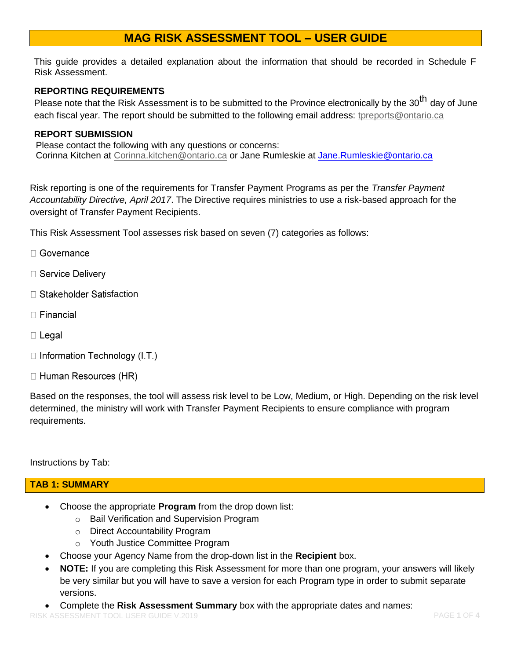# **MAG RISK ASSESSMENT TOOL – USER GUIDE**

This guide provides a detailed explanation about the information that should be recorded in Schedule F Risk Assessment.

#### **REPORTING REQUIREMENTS**

Please note that the Risk Assessment is to be submitted to the Province electronically by the 30<sup>th</sup> day of June each fiscal year. The report should be submitted to the following email address: [tpreports@ontario.ca](mailto:tpreports@ontario.ca)

## **REPORT SUBMISSION**

Please contact the following with any questions or concerns: Corinna Kitchen at [Corinna.kitchen@ontario.ca](mailto:Corinna.kitchen@ontario.ca) or Jane Rumleskie at [Jane.Rumleskie@ontario.ca](mailto:Jane.Rumleskie@ontario.ca)

Risk reporting is one of the requirements for Transfer Payment Programs as per the *Transfer Payment Accountability Directive, April 2017*. The Directive requires ministries to use a risk-based approach for the oversight of Transfer Payment Recipients.

This Risk Assessment Tool assesses risk based on seven (7) categories as follows:

- □ Governance
- □ Service Delivery
- □ Stakeholder Satisfaction
- $\Box$  Financial
- $\Box$  Legal
- $\Box$  Information Technology (I.T.)
- □ Human Resources (HR)

Based on the responses, the tool will assess risk level to be Low, Medium, or High. Depending on the risk level determined, the ministry will work with Transfer Payment Recipients to ensure compliance with program requirements.

Instructions by Tab:

## **TAB 1: SUMMARY**

- Choose the appropriate **Program** from the drop down list:
	- o Bail Verification and Supervision Program
	- o Direct Accountability Program
	- o Youth Justice Committee Program
- Choose your Agency Name from the drop-down list in the **Recipient** box.
- **NOTE:** If you are completing this Risk Assessment for more than one program, your answers will likely be very similar but you will have to save a version for each Program type in order to submit separate versions.
- Complete the **Risk Assessment Summary** box with the appropriate dates and names: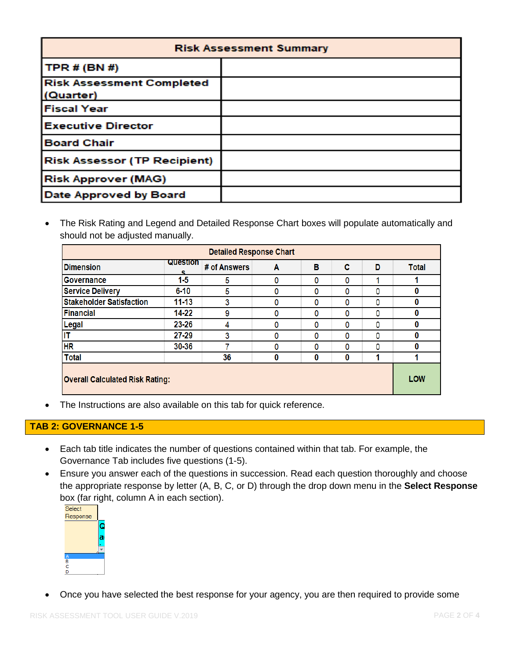| <b>Risk Assessment Summary</b>                |  |  |  |  |
|-----------------------------------------------|--|--|--|--|
| <b>TPR # (BN #)</b>                           |  |  |  |  |
| <b>Risk Assessment Completed</b><br>(Quarter) |  |  |  |  |
| <b>Fiscal Year</b>                            |  |  |  |  |
| <b>Executive Director</b>                     |  |  |  |  |
| <b>Board Chair</b>                            |  |  |  |  |
| <b>Risk Assessor (TP Recipient)</b>           |  |  |  |  |
| <b>Risk Approver (MAG)</b>                    |  |  |  |  |
| Date Approved by Board                        |  |  |  |  |

 The Risk Rating and Legend and Detailed Response Chart boxes will populate automatically and should not be adjusted manually.

| <b>Detailed Response Chart</b>         |           |              |   |   |   |     |              |
|----------------------------------------|-----------|--------------|---|---|---|-----|--------------|
| <b>Dimension</b>                       | Question  | # of Answers | Α | в | c | D   | <b>Total</b> |
| Governance                             | $1-5$     | 5            | 0 | 0 | ٥ |     |              |
| <b>Service Delivery</b>                | $6 - 10$  | 5            | 0 | 0 | 0 | 0   | 0            |
| <b>Stakeholder Satisfaction</b>        | $11 - 13$ | 3            | 0 | 0 | ٥ | 0   | 0            |
| <b>Financial</b>                       | 14-22     | 9            | 0 | ٥ | ٥ | 0   | $\bf{0}$     |
| Legal                                  | 23-26     | 4            | 0 | 0 | 0 | 0   | 0            |
| īΤ                                     | $27 - 29$ | 3            | 0 | 0 | ٥ | 0   | 0            |
| H <sub>R</sub>                         | 30-36     |              | 0 | ٥ | ٥ | 0   | $\bf{0}$     |
| <b>Total</b>                           |           | 36           | 0 | 0 | 0 |     |              |
| <b>Overall Calculated Risk Rating:</b> |           |              |   |   |   | LOW |              |

The Instructions are also available on this tab for quick reference.

# **TAB 2: GOVERNANCE 1-5**

- Each tab title indicates the number of questions contained within that tab. For example, the Governance Tab includes five questions (1-5).
- Ensure you answer each of the questions in succession. Read each question thoroughly and choose the appropriate response by letter (A, B, C, or D) through the drop down menu in the **Select Response** box (far right, column A in each section).



Once you have selected the best response for your agency, you are then required to provide some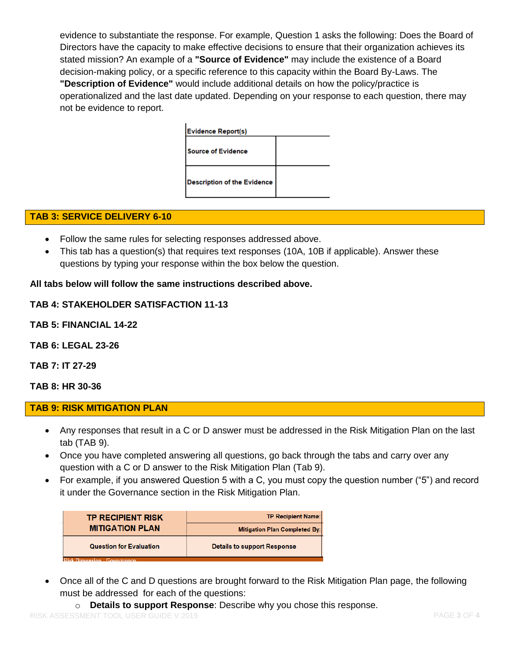evidence to substantiate the response. For example, Question 1 asks the following: Does the Board of Directors have the capacity to make effective decisions to ensure that their organization achieves its stated mission? An example of a **"Source of Evidence"** may include the existence of a Board decision-making policy, or a specific reference to this capacity within the Board By-Laws. The **"Description of Evidence"** would include additional details on how the policy/practice is operationalized and the last date updated. Depending on your response to each question, there may not be evidence to report.



## **TAB 3: SERVICE DELIVERY 6-10**

- Follow the same rules for selecting responses addressed above.
- This tab has a question(s) that requires text responses (10A, 10B if applicable). Answer these questions by typing your response within the box below the question.

#### **All tabs below will follow the same instructions described above.**

#### **TAB 4: STAKEHOLDER SATISFACTION 11-13**

**TAB 5: FINANCIAL 14-22**

**TAB 6: LEGAL 23-26**

**TAB 7: IT 27-29**

**TAB 8: HR 30-36**

**TAB 9: RISK MITIGATION PLAN** 

- Any responses that result in a C or D answer must be addressed in the Risk Mitigation Plan on the last tab (TAB 9).
- Once you have completed answering all questions, go back through the tabs and carry over any question with a C or D answer to the Risk Mitigation Plan (Tab 9).
- For example, if you answered Question 5 with a C, you must copy the question number ("5") and record it under the Governance section in the Risk Mitigation Plan.

| <b>MITIGATION PLAN</b><br><b>Mitigation Plan Completed By:</b> | <b>Question for Evaluation</b> | <b>Details to support Response</b> |  |  |  |  |
|----------------------------------------------------------------|--------------------------------|------------------------------------|--|--|--|--|
|                                                                |                                |                                    |  |  |  |  |
|                                                                | <b>TP RECIPIENT RISK</b>       | <b>TP Recipient Name:</b>          |  |  |  |  |

 Once all of the C and D questions are brought forward to the Risk Mitigation Plan page, the following must be addressed for each of the questions:

o **Details to support Response**: Describe why you chose this response.